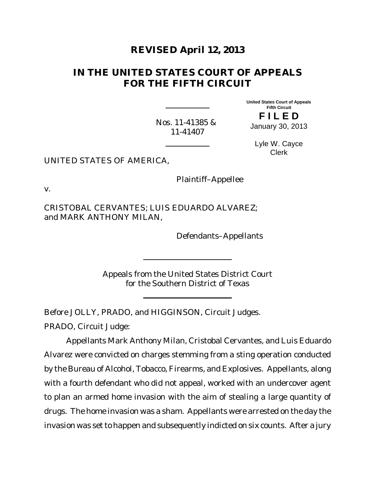# **REVISED April 12, 2013**

# **IN THE UNITED STATES COURT OF APPEALS FOR THE FIFTH CIRCUIT**

**United States Court of Appeals Fifth Circuit F I L E D**

Nos. 11-41385 & 11-41407

January 30, 2013

Lyle W. Cayce Clerk

UNITED STATES OF AMERICA,

Plaintiff–Appellee

v.

CRISTOBAL CERVANTES; LUIS EDUARDO ALVAREZ; and MARK ANTHONY MILAN,

Defendants–Appellants

Appeals from the United States District Court for the Southern District of Texas

Before JOLLY, PRADO, and HIGGINSON, Circuit Judges.

PRADO, Circuit Judge:

Appellants Mark Anthony Milan, Cristobal Cervantes, and Luis Eduardo Alvarez were convicted on charges stemming from a sting operation conducted by the Bureau of Alcohol, Tobacco, Firearms, and Explosives. Appellants, along with a fourth defendant who did not appeal, worked with an undercover agent to plan an armed home invasion with the aim of stealing a large quantity of drugs. The home invasion was a sham. Appellants were arrested on the day the invasion was set to happen and subsequently indicted on six counts. After a jury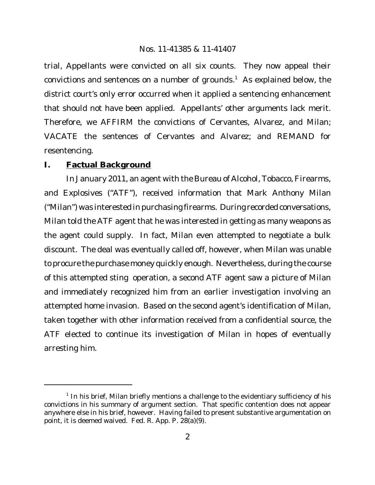trial, Appellants were convicted on all six counts. They now appeal their convictions and sentences on a number of grounds.<sup>1</sup> As explained below, the district court's only error occurred when it applied a sentencing enhancement that should not have been applied. Appellants' other arguments lack merit. Therefore, we AFFIRM the convictions of Cervantes, Alvarez, and Milan; VACATE the sentences of Cervantes and Alvarez; and REMAND for resentencing.

## **I. Factual Background**

In January 2011, an agent with the Bureau of Alcohol, Tobacco, Firearms, and Explosives ("ATF"), received information that Mark Anthony Milan ("Milan") was interested in purchasing firearms. During recorded conversations, Milan told the ATF agent that he was interested in getting as many weapons as the agent could supply. In fact, Milan even attempted to negotiate a bulk discount. The deal was eventually called off, however, when Milan was unable to procure the purchase money quickly enough. Nevertheless, during the course of this attempted sting operation, a second ATF agent saw a picture of Milan and immediately recognized him from an earlier investigation involving an attempted home invasion. Based on the second agent's identification of Milan, taken together with other information received from a confidential source, the ATF elected to continue its investigation of Milan in hopes of eventually arresting him.

<sup>&</sup>lt;sup>1</sup> In his brief, Milan briefly mentions a challenge to the evidentiary sufficiency of his convictions in his summary of argument section. That specific contention does not appear anywhere else in his brief, however. Having failed to present substantive argumentation on point, it is deemed waived. Fed. R. App. P. 28(a)(9).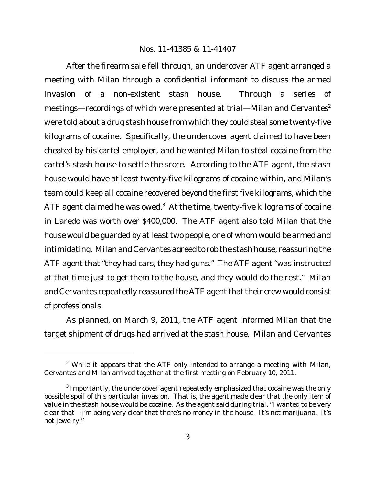After the firearm sale fell through, an undercover ATF agent arranged a meeting with Milan through a confidential informant to discuss the armed invasion of a non-existent stash house. Through a series of meetings—recordings of which were presented at trial—Milan and Cervantes<sup>2</sup> were told about a drug stash house from which they could steal some twenty-five kilograms of cocaine. Specifically, the undercover agent claimed to have been cheated by his cartel employer, and he wanted Milan to steal cocaine from the cartel's stash house to settle the score. According to the ATF agent, the stash house would have at least twenty-five kilograms of cocaine within, and Milan's team could keep all cocaine recovered beyond the first five kilograms, which the ATF agent claimed he was owed. $3$  At the time, twenty-five kilograms of cocaine in Laredo was worth over \$400,000. The ATF agent also told Milan that the house would be guarded by at least two people, one of whom would be armed and intimidating. Milan and Cervantes agreed to rob the stash house, reassuring the ATF agent that "they had cars, they had guns." The ATF agent "was instructed at that time just to get them to the house, and they would do the rest." Milan and Cervantes repeatedly reassured the ATF agent that their crew would consist of professionals.

As planned, on March 9, 2011, the ATF agent informed Milan that the target shipment of drugs had arrived at the stash house. Milan and Cervantes

 $2$  While it appears that the ATF only intended to arrange a meeting with Milan, Cervantes and Milan arrived together at the first meeting on February 10, 2011.

 $^3$  Importantly, the undercover agent repeatedly emphasized that cocaine was the only possible spoil of this particular invasion. That is, the agent made clear that the only item of value in the stash house would be cocaine. As the agent said during trial, "I wanted to be very clear that—I'm being very clear that there's no money in the house. It's not marijuana. It's not jewelry."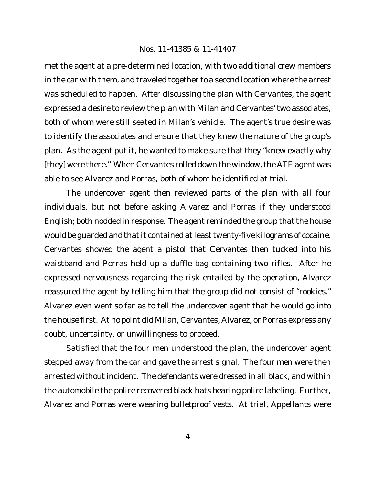met the agent at a pre-determined location, with two additional crew members in the car with them, and traveled together to a second location where the arrest was scheduled to happen. After discussing the plan with Cervantes, the agent expressed a desire to review the plan with Milan and Cervantes' two associates, both of whom were still seated in Milan's vehicle. The agent's true desire was to identify the associates and ensure that they knew the nature of the group's plan. As the agent put it, he wanted to make sure that they "knew exactly why [they] were there." When Cervantes rolled down the window, the ATF agent was able to see Alvarez and Porras, both of whom he identified at trial.

The undercover agent then reviewed parts of the plan with all four individuals, but not before asking Alvarez and Porras if they understood English; both nodded in response. The agent reminded the group that the house would be guarded and that it contained at least twenty-five kilograms of cocaine. Cervantes showed the agent a pistol that Cervantes then tucked into his waistband and Porras held up a duffle bag containing two rifles. After he expressed nervousness regarding the risk entailed by the operation, Alvarez reassured the agent by telling him that the group did not consist of "rookies." Alvarez even went so far as to tell the undercover agent that he would go into the house first. At no point did Milan, Cervantes, Alvarez, or Porras express any doubt, uncertainty, or unwillingness to proceed.

Satisfied that the four men understood the plan, the undercover agent stepped away from the car and gave the arrest signal. The four men were then arrested without incident. The defendants were dressed in all black, and within the automobile the police recovered black hats bearing police labeling. Further, Alvarez and Porras were wearing bulletproof vests. At trial, Appellants were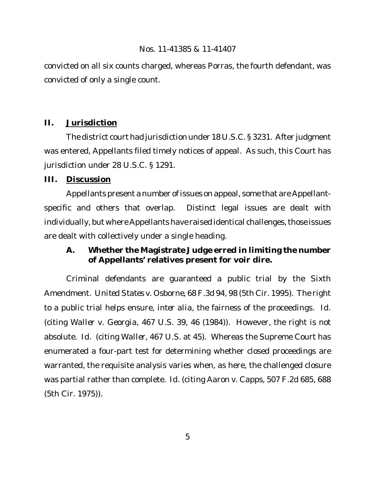convicted on all six counts charged, whereas Porras, the fourth defendant, was convicted of only a single count.

# **II. Jurisdiction**

The district court had jurisdiction under 18 U.S.C. § 3231. After judgment was entered, Appellants filed timely notices of appeal. As such, this Court has jurisdiction under 28 U.S.C. § 1291.

# **III. Discussion**

Appellants present a number of issues on appeal, some that are Appellantspecific and others that overlap. Distinct legal issues are dealt with individually, but where Appellants have raised identical challenges, those issues are dealt with collectively under a single heading.

**A. Whether the Magistrate Judge erred in limiting the number of Appellants' relatives present for voir dire.**

Criminal defendants are guaranteed a public trial by the Sixth Amendment. *United States v. Osborne*, 68 F.3d 94, 98 (5th Cir. 1995). The right to a public trial helps ensure, *inter alia*, the fairness of the proceedings. *Id.* (citing *Waller v. Georgia*, 467 U.S. 39, 46 (1984)). However, the right is not absolute. *Id.* (citing *Waller*, 467 U.S. at 45). Whereas the Supreme Court has enumerated a four-part test for determining whether closed proceedings are warranted, the requisite analysis varies when, as here, the challenged closure was partial rather than complete. *Id.* (citing *Aaron v. Capps*, 507 F.2d 685, 688 (5th Cir. 1975)).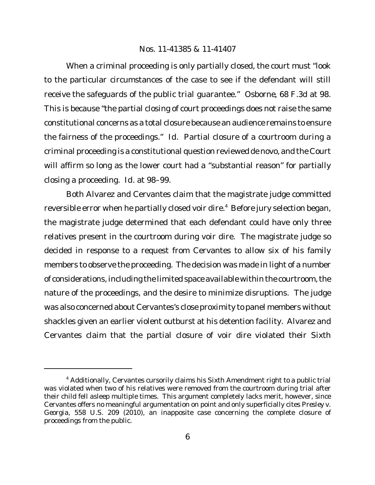When a criminal proceeding is only partially closed, the court must "look" to the particular circumstances of the case to see if the defendant will still receive the safeguards of the public trial guarantee." *Osborne*, 68 F.3d at 98*.* This is because "the partial closing of court proceedings does not raise the same constitutional concerns as a total closure because an audience remains to ensure the fairness of the proceedings." *Id.* Partial closure of a courtroom during a criminal proceeding is a constitutional question reviewed de novo, and the Court will affirm so long as the lower court had a "substantial reason" for partially closing a proceeding. *Id.* at 98–99.

Both Alvarez and Cervantes claim that the magistrate judge committed reversible error when he partially closed voir dire.<sup>4</sup> Before jury selection began, the magistrate judge determined that each defendant could have only three relatives present in the courtroom during voir dire. The magistrate judge so decided in response to a request from Cervantes to allow six of his family members to observe the proceeding. The decision was made in light of a number of considerations, including the limited space available within the courtroom, the nature of the proceedings, and the desire to minimize disruptions. The judge was also concerned about Cervantes's close proximity to panel members without shackles given an earlier violent outburst at his detention facility. Alvarez and Cervantes claim that the partial closure of voir dire violated their Sixth

<sup>4</sup> Additionally, Cervantes cursorily claims his Sixth Amendment right to a public trial was violated when two of his relatives were removed from the courtroom during trial after their child fell asleep multiple times. This argument completely lacks merit, however, since Cervantes offers no meaningful argumentation on point and only superficially cites *Presley v. Georgia*, 558 U.S. 209 (2010), an inapposite case concerning the complete closure of proceedings from the public.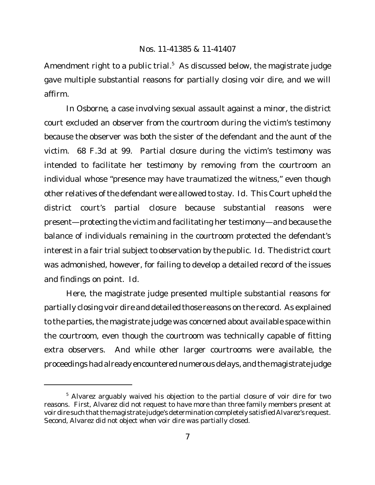Amendment right to a public trial.<sup>5</sup> As discussed below, the magistrate judge gave multiple substantial reasons for partially closing voir dire, and we will affirm.

In *Osborne*, a case involving sexual assault against a minor, the district court excluded an observer from the courtroom during the victim's testimony because the observer was both the sister of the defendant and the aunt of the victim. 68 F.3d at 99. Partial closure during the victim's testimony was intended to facilitate her testimony by removing from the courtroom an individual whose "presence may have traumatized the witness," even though other relatives of the defendant were allowed to stay. *Id.* This Court upheld the district court's partial closure because substantial reasons were present—protecting the victim and facilitating her testimony—and because the balance of individuals remaining in the courtroom protected the defendant's interest in a fair trial subject to observation by the public. *Id.* The district court was admonished, however, for failing to develop a detailed record of the issues and findings on point. *Id.*

Here, the magistrate judge presented multiple substantial reasons for partially closing voir dire and detailed those reasons on the record. As explained to the parties, the magistrate judge was concerned about available space within the courtroom, even though the courtroom was technically capable of fitting extra observers. And while other larger courtrooms were available, the proceedings had already encountered numerous delays, and the magistrate judge

<sup>&</sup>lt;sup>5</sup> Alvarez arguably waived his objection to the partial closure of voir dire for two reasons. First, Alvarez did not request to have more than three family members present at voir dire such that the magistrate judge's determination completely satisfied Alvarez's request. Second, Alvarez did not object when voir dire was partially closed.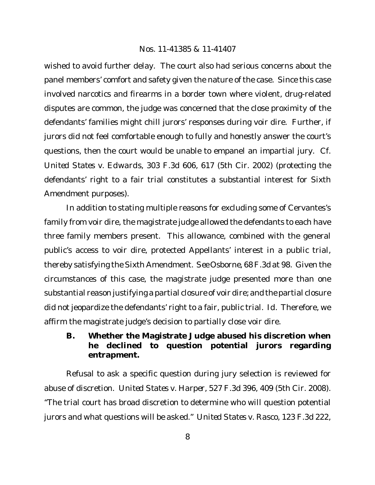wished to avoid further delay. The court also had serious concerns about the panel members' comfort and safety given the nature of the case. Since this case involved narcotics and firearms in a border town where violent, drug-related disputes are common, the judge was concerned that the close proximity of the defendants' families might chill jurors' responses during voir dire. Further, if jurors did not feel comfortable enough to fully and honestly answer the court's questions, then the court would be unable to empanel an impartial jury. *Cf. United States v. Edwards*, 303 F.3d 606, 617 (5th Cir. 2002) (protecting the defendants' right to a fair trial constitutes a substantial interest for Sixth Amendment purposes).

In addition to stating multiple reasons for excluding some of Cervantes's family from voir dire, the magistrate judge allowed the defendants to each have three family members present. This allowance, combined with the general public's access to voir dire, protected Appellants' interest in a public trial, thereby satisfying the Sixth Amendment. *See Osborne*, 68 F.3d at 98. Given the circumstances of this case, the magistrate judge presented more than one substantial reason justifying a partial closure of voir dire; and the partial closure did not jeopardize the defendants' right to a fair, public trial. *Id.* Therefore, we affirm the magistrate judge's decision to partially close voir dire.

**B. Whether the Magistrate Judge abused his discretion when he declined to question potential jurors regarding entrapment.**

Refusal to ask a specific question during jury selection is reviewed for abuse of discretion. *United States v. Harper*, 527 F.3d 396, 409 (5th Cir. 2008). "The trial court has broad discretion to determine who will question potential jurors and what questions will be asked." *United States v. Rasco*, 123 F.3d 222,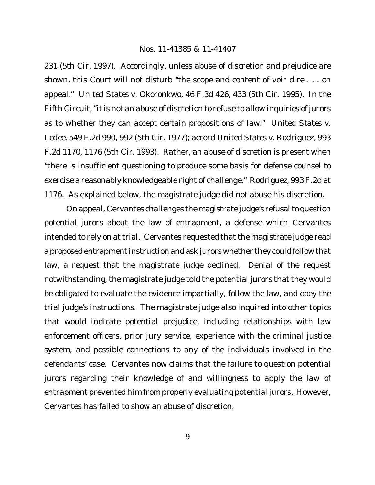231 (5th Cir. 1997). Accordingly, unless abuse of discretion and prejudice are shown, this Court will not disturb "the scope and content of voir dire . . . on appeal." *United States v. Okoronkwo*, 46 F.3d 426, 433 (5th Cir. 1995). In the Fifth Circuit, "it is not an abuse of discretion to refuse to allow inquiries of jurors as to whether they can accept certain propositions of law." *United States v. Ledee*, 549 F.2d 990, 992 (5th Cir. 1977); *accord United States v. Rodriguez*, 993 F.2d 1170, 1176 (5th Cir. 1993). Rather, an abuse of discretion is present when "there is insufficient questioning to produce some basis for defense counsel to exercise a reasonably knowledgeable right of challenge." *Rodriguez*, 993 F.2d at 1176. As explained below, the magistrate judge did not abuse his discretion.

On appeal, Cervantes challenges the magistrate judge's refusal to question potential jurors about the law of entrapment, a defense which Cervantes intended to rely on at trial. Cervantes requested that the magistrate judge read a proposed entrapment instruction and ask jurors whether they could follow that law, a request that the magistrate judge declined. Denial of the request notwithstanding, the magistrate judge told the potential jurors that they would be obligated to evaluate the evidence impartially, follow the law, and obey the trial judge's instructions. The magistrate judge also inquired into other topics that would indicate potential prejudice, including relationships with law enforcement officers, prior jury service, experience with the criminal justice system, and possible connections to any of the individuals involved in the defendants' case. Cervantes now claims that the failure to question potential jurors regarding their knowledge of and willingness to apply the law of entrapment prevented him from properly evaluating potential jurors. However, Cervantes has failed to show an abuse of discretion.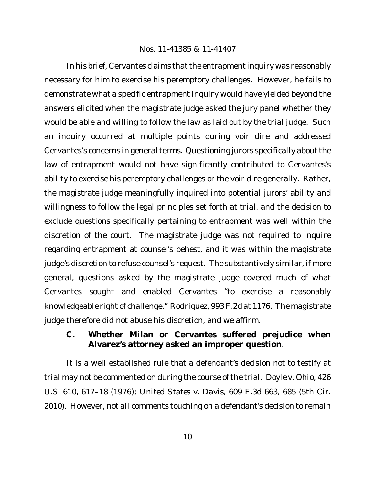In his brief, Cervantes claims that the entrapment inquiry was reasonably necessary for him to exercise his peremptory challenges. However, he fails to demonstrate what a specific entrapment inquiry would have yielded beyond the answers elicited when the magistrate judge asked the jury panel whether they would be able and willing to follow the law as laid out by the trial judge. Such an inquiry occurred at multiple points during voir dire and addressed Cervantes's concerns in general terms. Questioning jurors specifically about the law of entrapment would not have significantly contributed to Cervantes's ability to exercise his peremptory challenges or the voir dire generally. Rather, the magistrate judge meaningfully inquired into potential jurors' ability and willingness to follow the legal principles set forth at trial, and the decision to exclude questions specifically pertaining to entrapment was well within the discretion of the court. The magistrate judge was not required to inquire regarding entrapment at counsel's behest, and it was within the magistrate judge's discretion to refuse counsel's request. The substantively similar, if more general, questions asked by the magistrate judge covered much of what Cervantes sought and enabled Cervantes "to exercise a reasonably knowledgeable right of challenge." *Rodriguez*, 993 F.2d at 1176. The magistrate judge therefore did not abuse his discretion, and we affirm.

**C. Whether Milan or Cervantes suffered prejudice when Alvarez's attorney asked an improper question**.

It is a well established rule that a defendant's decision not to testify at trial may not be commented on during the course of the trial. *Doyle v. Ohio*, 426 U.S. 610, 617–18 (1976); *United States v. Davis*, 609 F.3d 663, 685 (5th Cir. 2010). However, not all comments touching on a defendant's decision to remain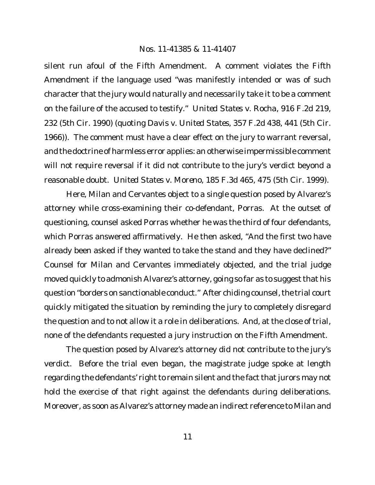silent run afoul of the Fifth Amendment. A comment violates the Fifth Amendment if the language used "was manifestly intended or was of such character that the jury would naturally and necessarily take it to be a comment on the failure of the accused to testify." *United States v. Rocha*, 916 F.2d 219, 232 (5th Cir. 1990) (quoting *Davis v. United States*, 357 F.2d 438, 441 (5th Cir. 1966)). The comment must have a clear effect on the jury to warrant reversal, and the doctrine of harmless error applies: an otherwise impermissible comment will not require reversal if it did not contribute to the jury's verdict beyond a reasonable doubt. *United States v. Moreno*, 185 F.3d 465, 475 (5th Cir. 1999).

Here, Milan and Cervantes object to a single question posed by Alvarez's attorney while cross-examining their co-defendant, Porras. At the outset of questioning, counsel asked Porras whether he was the third of four defendants, which Porras answered affirmatively. He then asked, "And the first two have already been asked if they wanted to take the stand and they have declined?" Counsel for Milan and Cervantes immediately objected, and the trial judge moved quickly to admonish Alvarez's attorney, going so far as to suggest that his question "borders on sanctionable conduct." After chiding counsel, the trial court quickly mitigated the situation by reminding the jury to completely disregard the question and to not allow it a role in deliberations. And, at the close of trial, none of the defendants requested a jury instruction on the Fifth Amendment.

The question posed by Alvarez's attorney did not contribute to the jury's verdict. Before the trial even began, the magistrate judge spoke at length regarding the defendants' right to remain silent and the fact that jurors may not hold the exercise of that right against the defendants during deliberations. Moreover, as soon as Alvarez's attorney made an indirect reference to Milan and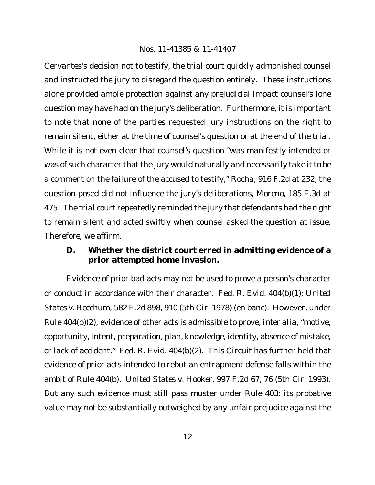Cervantes's decision not to testify, the trial court quickly admonished counsel and instructed the jury to disregard the question entirely. These instructions alone provided ample protection against any prejudicial impact counsel's lone question may have had on the jury's deliberation. Furthermore, it is important to note that none of the parties requested jury instructions on the right to remain silent, either at the time of counsel's question or at the end of the trial. While it is not even clear that counsel's question "was manifestly intended or was of such character that the jury would naturally and necessarily take it to be a comment on the failure of the accused to testify," *Rocha*, 916 F.2d at 232, the question posed did not influence the jury's deliberations, *Moreno*, 185 F.3d at 475. The trial court repeatedly reminded the jury that defendants had the right to remain silent and acted swiftly when counsel asked the question at issue. Therefore, we affirm.

**D. Whether the district court erred in admitting evidence of a prior attempted home invasion.**

Evidence of prior bad acts may not be used to prove a person's character or conduct in accordance with their character. Fed. R. Evid. 404(b)(1); *United States v. Beechum*, 582 F.2d 898, 910 (5th Cir. 1978) (en banc). However, under Rule 404(b)(2), evidence of other acts is admissible to prove, *inter alia*, "motive, opportunity, intent, preparation, plan, knowledge, identity, absence of mistake, or lack of accident." Fed. R. Evid. 404(b)(2). This Circuit has further held that evidence of prior acts intended to rebut an entrapment defense falls within the ambit of Rule 404(b). *United States v. Hooker*, 997 F.2d 67, 76 (5th Cir. 1993). But any such evidence must still pass muster under Rule 403: its probative value may not be substantially outweighed by any unfair prejudice against the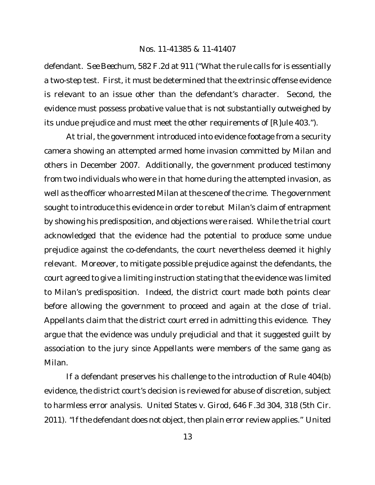defendant. *See Beechum*, 582 F.2d at 911 ("What the rule calls for is essentially a two-step test. First, it must be determined that the extrinsic offense evidence is relevant to an issue other than the defendant's character. Second, the evidence must possess probative value that is not substantially outweighed by its undue prejudice and must meet the other requirements of [R]ule 403.").

At trial, the government introduced into evidence footage from a security camera showing an attempted armed home invasion committed by Milan and others in December 2007. Additionally, the government produced testimony from two individuals who were in that home during the attempted invasion, as well as the officer who arrested Milan at the scene of the crime. The government sought to introduce this evidence in order to rebut Milan's claim of entrapment by showing his predisposition, and objections were raised. While the trial court acknowledged that the evidence had the potential to produce some undue prejudice against the co-defendants, the court nevertheless deemed it highly relevant. Moreover, to mitigate possible prejudice against the defendants, the court agreed to give a limiting instruction stating that the evidence was limited to Milan's predisposition. Indeed, the district court made both points clear before allowing the government to proceed and again at the close of trial. Appellants claim that the district court erred in admitting this evidence. They argue that the evidence was unduly prejudicial and that it suggested guilt by association to the jury since Appellants were members of the same gang as Milan.

If a defendant preserves his challenge to the introduction of Rule 404(b) evidence, the district court's decision is reviewed for abuse of discretion, subject to harmless error analysis. *United States v. Girod*, 646 F.3d 304, 318 (5th Cir. 2011). "If the defendant does not object, then plain error review applies." *United*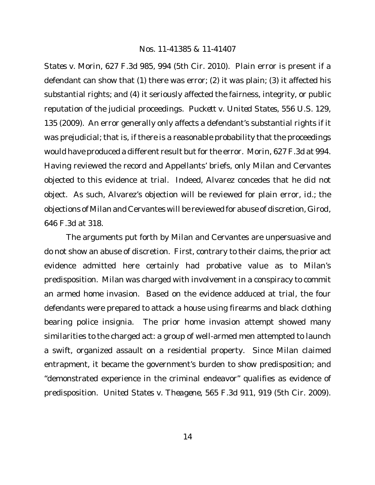*States v. Morin*, 627 F.3d 985, 994 (5th Cir. 2010). Plain error is present if a defendant can show that (1) there was error; (2) it was plain; (3) it affected his substantial rights; and (4) it seriously affected the fairness, integrity, or public reputation of the judicial proceedings. *Puckett v. United States*, 556 U.S. 129, 135 (2009). An error generally only affects a defendant's substantial rights if it was prejudicial; that is, if there is a reasonable probability that the proceedings would have produced a different result but for the error. *Morin*, 627 F.3d at 994*.* Having reviewed the record and Appellants' briefs, only Milan and Cervantes objected to this evidence at trial. Indeed, Alvarez concedes that he did not object. As such, Alvarez's objection will be reviewed for plain error, *id.*; the objections of Milan and Cervantes will be reviewed for abuse of discretion, *Girod*, 646 F.3d at 318.

The arguments put forth by Milan and Cervantes are unpersuasive and do not show an abuse of discretion. First, contrary to their claims, the prior act evidence admitted here certainly had probative value as to Milan's predisposition. Milan was charged with involvement in a conspiracy to commit an armed home invasion. Based on the evidence adduced at trial, the four defendants were prepared to attack a house using firearms and black clothing bearing police insignia. The prior home invasion attempt showed many similarities to the charged act: a group of well-armed men attempted to launch a swift, organized assault on a residential property. Since Milan claimed entrapment, it became the government's burden to show predisposition; and "demonstrated experience in the criminal endeavor" qualifies as evidence of predisposition. *United States v. Theagene*, 565 F.3d 911, 919 (5th Cir. 2009).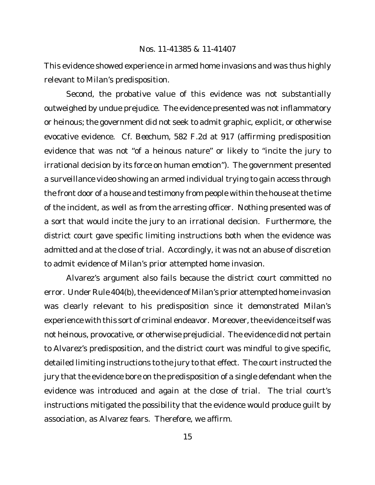This evidence showed experience in armed home invasions and was thus highly relevant to Milan's predisposition.

Second, the probative value of this evidence was not substantially outweighed by undue prejudice. The evidence presented was not inflammatory or heinous; the government did not seek to admit graphic, explicit, or otherwise evocative evidence. *Cf. Beechum*, 582 F.2d at 917 (affirming predisposition evidence that was not "of a heinous nature" or likely to "incite the jury to irrational decision by its force on human emotion"). The government presented a surveillance video showing an armed individual trying to gain access through the front door of a house and testimony from people within the house at the time of the incident, as well as from the arresting officer. Nothing presented was of a sort that would incite the jury to an irrational decision. Furthermore, the district court gave specific limiting instructions both when the evidence was admitted and at the close of trial. Accordingly, it was not an abuse of discretion to admit evidence of Milan's prior attempted home invasion.

Alvarez's argument also fails because the district court committed no error. Under Rule 404(b), the evidence of Milan's prior attempted home invasion was clearly relevant to his predisposition since it demonstrated Milan's experience with this sort of criminal endeavor. Moreover, the evidence itself was not heinous, provocative, or otherwise prejudicial. The evidence did not pertain to Alvarez's predisposition, and the district court was mindful to give specific, detailed limiting instructions to the jury to that effect. The court instructed the jury that the evidence bore on the predisposition of a single defendant when the evidence was introduced and again at the close of trial. The trial court's instructions mitigated the possibility that the evidence would produce guilt by association, as Alvarez fears. Therefore, we affirm.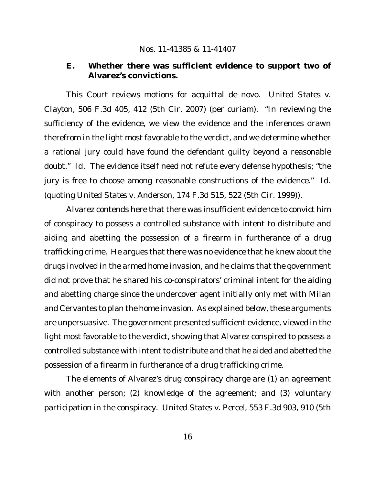**E. Whether there was sufficient evidence to support two of Alvarez's convictions.**

This Court reviews motions for acquittal de novo. *United States v. Clayton*, 506 F.3d 405, 412 (5th Cir. 2007) (per curiam). "In reviewing the sufficiency of the evidence, we view the evidence and the inferences drawn therefrom in the light most favorable to the verdict, and we determine whether a rational jury could have found the defendant guilty beyond a reasonable doubt." *Id.* The evidence itself need not refute every defense hypothesis; "the jury is free to choose among reasonable constructions of the evidence." *Id.* (quoting *United States v. Anderson*, 174 F.3d 515, 522 (5th Cir. 1999)).

Alvarez contends here that there was insufficient evidence to convict him of conspiracy to possess a controlled substance with intent to distribute and aiding and abetting the possession of a firearm in furtherance of a drug trafficking crime. He argues that there was no evidence that he knew about the drugs involved in the armed home invasion, and he claims that the government did not prove that he shared his co-conspirators' criminal intent for the aiding and abetting charge since the undercover agent initially only met with Milan and Cervantes to plan the home invasion. As explained below, these arguments are unpersuasive. The government presented sufficient evidence, viewed in the light most favorable to the verdict, showing that Alvarez conspired to possess a controlled substance with intent to distribute and that he aided and abetted the possession of a firearm in furtherance of a drug trafficking crime.

The elements of Alvarez's drug conspiracy charge are (1) an agreement with another person; (2) knowledge of the agreement; and (3) voluntary participation in the conspiracy. *United States v. Percel*, 553 F.3d 903, 910 (5th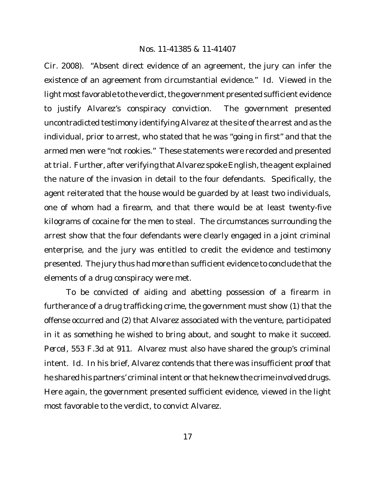Cir. 2008). "Absent direct evidence of an agreement, the jury can infer the existence of an agreement from circumstantial evidence." *Id.* Viewed in the light most favorable to the verdict, the government presented sufficient evidence to justify Alvarez's conspiracy conviction. The government presented uncontradicted testimony identifying Alvarez at the site of the arrest and as the individual, prior to arrest, who stated that he was "going in first" and that the armed men were "not rookies." These statements were recorded and presented attrial. Further, after verifying that Alvarez spoke English, the agent explained the nature of the invasion in detail to the four defendants. Specifically, the agent reiterated that the house would be guarded by at least two individuals, one of whom had a firearm, and that there would be at least twenty-five kilograms of cocaine for the men to steal. The circumstances surrounding the arrest show that the four defendants were clearly engaged in a joint criminal enterprise, and the jury was entitled to credit the evidence and testimony presented. The jury thus had more than sufficient evidence to conclude that the elements of a drug conspiracy were met.

To be convicted of aiding and abetting possession of a firearm in furtherance of a drug trafficking crime, the government must show (1) that the offense occurred and (2) that Alvarez associated with the venture, participated in it as something he wished to bring about, and sought to make it succeed. *Percel*, 553 F.3d at 911. Alvarez must also have shared the group's criminal intent. *Id.* In his brief, Alvarez contends that there was insufficient proof that he shared his partners' criminal intent or that he knew the crime involved drugs. Here again, the government presented sufficient evidence, viewed in the light most favorable to the verdict, to convict Alvarez.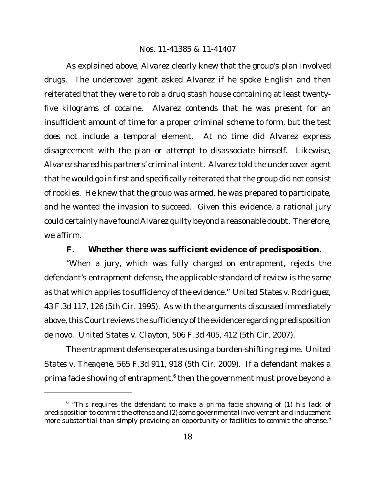As explained above, Alvarez clearly knew that the group's plan involved drugs. The undercover agent asked Alvarez if he spoke English and then reiterated that they were to rob a drug stash house containing at least twentyfive kilograms of cocaine. Alvarez contends that he was present for an insufficient amount of time for a proper criminal scheme to form, but the test does not include a temporal element. At no time did Alvarez express disagreement with the plan or attempt to disassociate himself. Likewise, Alvarez shared his partners' criminal intent. Alvarez told the undercover agent that he would go in first and specifically reiterated that the group did not consist of rookies. He knew that the group was armed, he was prepared to participate, and he wanted the invasion to succeed. Given this evidence, a rational jury could certainly have found Alvarez guilty beyond a reasonable doubt. Therefore, we affirm.

**F. Whether there was sufficient evidence of predisposition.**

"When a jury, which was fully charged on entrapment, rejects the defendant's entrapment defense, the applicable standard of review is the same as that which applies to sufficiency ofthe evidence." *United States v. Rodriguez*, 43 F.3d 117, 126 (5th Cir. 1995). As with the arguments discussed immediately above, this Court reviews the sufficiency of the evidence regarding predisposition de novo. *United States v. Clayton*, 506 F.3d 405, 412 (5th Cir. 2007).

The entrapment defense operates using a burden-shifting regime. *United States v. Theagene*, 565 F.3d 911, 918 (5th Cir. 2009). If a defendant makes a prima facie showing of entrapment, $^6$  then the government must prove beyond a

<sup>&</sup>lt;sup>6</sup> "This requires the defendant to make a prima facie showing of (1) his lack of predisposition to commit the offense and (2) some governmental involvement and inducement more substantial than simply providing an opportunity or facilities to commit the offense."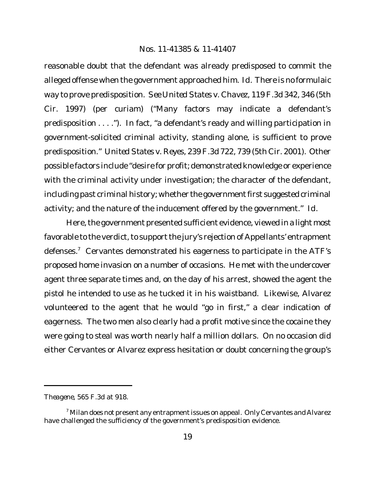reasonable doubt that the defendant was already predisposed to commit the alleged offense when the government approached him. *Id.* There is no formulaic way to prove predisposition. *See United States v. Chavez*, 119 F.3d 342, 346 (5th Cir. 1997) (per curiam) ("Many factors may indicate a defendant's predisposition . . . ."). In fact, "a defendant's ready and willing participation in government-solicited criminal activity, standing alone, is sufficient to prove predisposition." *United States v. Reyes*, 239 F.3d 722, 739 (5th Cir. 2001). Other possible factors include "desire for profit; demonstrated knowledge or experience with the criminal activity under investigation; the character of the defendant, including past criminal history; whether the government first suggested criminal activity; and the nature of the inducement offered by the government." *Id.*

Here, the government presented sufficient evidence, viewed in a light most favorable to the verdict, to support the jury's rejection of Appellants' entrapment defenses.<sup>7</sup> Cervantes demonstrated his eagerness to participate in the ATF's proposed home invasion on a number of occasions. He met with the undercover agent three separate times and, on the day of his arrest, showed the agent the pistol he intended to use as he tucked it in his waistband. Likewise, Alvarez volunteered to the agent that he would "go in first," a clear indication of eagerness. The two men also clearly had a profit motive since the cocaine they were going to steal was worth nearly half a million dollars. On no occasion did either Cervantes or Alvarez express hesitation or doubt concerning the group's

*Theagene*, 565 F.3d at 918.

 $^7$  Milan does not present any entrapment issues on appeal. Only Cervantes and Alvarez have challenged the sufficiency of the government's predisposition evidence.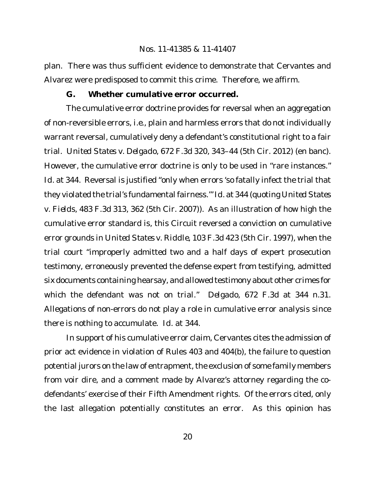plan. There was thus sufficient evidence to demonstrate that Cervantes and Alvarez were predisposed to commit this crime. Therefore, we affirm.

**G. Whether cumulative error occurred.**

The cumulative error doctrine provides for reversal when an aggregation of non-reversible errors, *i.e.*, plain and harmless errors that do not individually warrant reversal, cumulatively deny a defendant's constitutional right to a fair trial. *United States v. Delgado*, 672 F.3d 320, 343–44 (5th Cir. 2012) (en banc). However, the cumulative error doctrine is only to be used in "rare instances." *Id.* at 344. Reversal is justified "only when errors 'so fatally infect the trial that they violated the trial's fundamentalfairness.'" *Id.* at 344 (quoting *United States v. Fields*, 483 F.3d 313, 362 (5th Cir. 2007)). As an illustration of how high the cumulative error standard is, this Circuit reversed a conviction on cumulative error grounds in *United States v. Riddle*, 103 F.3d 423 (5th Cir. 1997), when the trial court "improperly admitted two and a half days of expert prosecution testimony, erroneously prevented the defense expert from testifying, admitted six documents containing hearsay, and allowed testimony about other crimes for which the defendant was not on trial." *Delgado*, 672 F.3d at 344 n.31. Allegations of non-errors do not play a role in cumulative error analysis since there is nothing to accumulate. *Id.* at 344.

In support of his cumulative error claim, Cervantes cites the admission of prior act evidence in violation of Rules 403 and 404(b), the failure to question potential jurors on the law of entrapment, the exclusion of some family members from voir dire, and a comment made by Alvarez's attorney regarding the codefendants' exercise of their Fifth Amendment rights. Of the errors cited, only the last allegation potentially constitutes an error. As this opinion has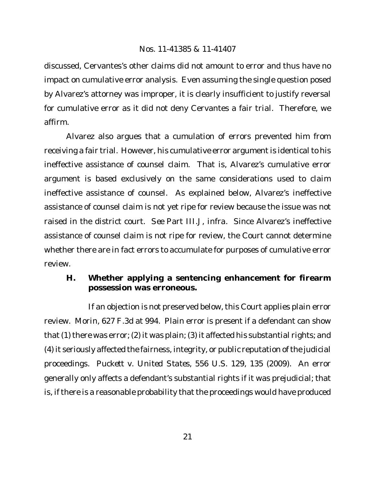discussed, Cervantes's other claims did not amount to error and thus have no impact on cumulative error analysis. Even assuming the single question posed by Alvarez's attorney was improper, it is clearly insufficient to justify reversal for cumulative error as it did not deny Cervantes a fair trial. Therefore, we affirm.

Alvarez also argues that a cumulation of errors prevented him from receiving a fair trial. However, his cumulative error argument is identical to his ineffective assistance of counsel claim. That is, Alvarez's cumulative error argument is based exclusively on the same considerations used to claim ineffective assistance of counsel. As explained below, Alvarez's ineffective assistance of counsel claim is not yet ripe for review because the issue was not raised in the district court. *See* Part III.J, *infra*. Since Alvarez's ineffective assistance of counsel claim is not ripe for review, the Court cannot determine whether there are in fact errors to accumulate for purposes of cumulative error review.

**H. Whether applying a sentencing enhancement for firearm possession was erroneous.**

If an objection is not preserved below, this Court applies plain error review. *Morin*, 627 F.3d at 994. Plain error is present if a defendant can show that (1) there was error; (2) it was plain; (3) it affected his substantial rights; and (4) it seriously affected the fairness, integrity, or public reputation ofthe judicial proceedings. *Puckett v. United States*, 556 U.S. 129, 135 (2009). An error generally only affects a defendant's substantial rights if it was prejudicial; that is, if there is a reasonable probability that the proceedings would have produced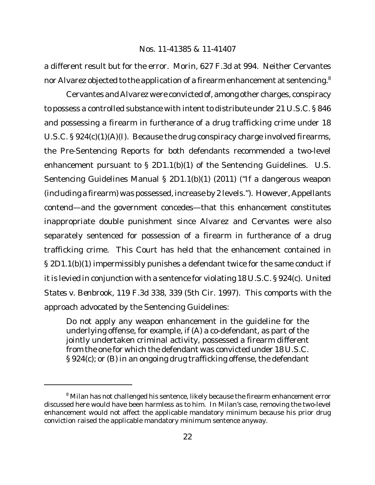a different result but for the error. *Morin*, 627 F.3d at 994*.* Neither Cervantes nor Alvarez objected to the application of a firearm enhancement at sentencing.<sup>8</sup>

Cervantes and Alvarez were convicted of, among other charges, conspiracy to possess a controlled substance with intent to distribute under 21 U.S.C. § 846 and possessing a firearm in furtherance of a drug trafficking crime under 18 U.S.C. § 924(c)(1)(A)(I). Because the drug conspiracy charge involved firearms, the Pre-Sentencing Reports for both defendants recommended a two-level enhancement pursuant to § 2D1.1(b)(1) of the Sentencing Guidelines. U.S. Sentencing Guidelines Manual § 2D1.1(b)(1) (2011) ("If a dangerous weapon (including a firearm) was possessed, increase by 2 levels."). However, Appellants contend—and the government concedes—that this enhancement constitutes inappropriate double punishment since Alvarez and Cervantes were also separately sentenced for possession of a firearm in furtherance of a drug trafficking crime. This Court has held that the enhancement contained in § 2D1.1(b)(1) impermissibly punishes a defendant twice for the same conduct if it is levied in conjunction with a sentence for violating 18 U.S.C. § 924(c). United *States v. Benbrook*, 119 F.3d 338, 339 (5th Cir. 1997). This comports with the approach advocated by the Sentencing Guidelines:

Do not apply any weapon enhancement in the guideline for the underlying offense, for example, if (A) a co-defendant, as part of the jointly undertaken criminal activity, possessed a firearm different from the one for which the defendant was convicted under 18 U.S.C. § 924(c); or (B) in an ongoing drug trafficking offense, the defendant

<sup>&</sup>lt;sup>8</sup> Milan has not challenged his sentence, likely because the firearm enhancement error discussed here would have been harmless as to him. In Milan's case, removing the two-level enhancement would not affect the applicable mandatory minimum because his prior drug conviction raised the applicable mandatory minimum sentence anyway.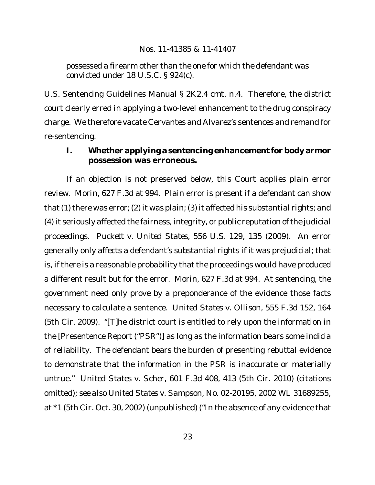possessed a firearm other than the one for which the defendant was convicted under 18 U.S.C. § 924(c).

U.S. Sentencing Guidelines Manual § 2K2.4 cmt. n.4. Therefore, the district court clearly erred in applying a two-level enhancement to the drug conspiracy charge. We therefore vacate Cervantes and Alvarez's sentences and remand for re-sentencing.

**I. Whether applying a sentencing enhancement for body armor possession was erroneous.**

If an objection is not preserved below, this Court applies plain error review. *Morin*, 627 F.3d at 994. Plain error is present if a defendant can show that (1) there was error; (2) it was plain; (3) it affected his substantial rights; and (4) it seriously affected the fairness, integrity, or public reputation ofthe judicial proceedings. *Puckett v. United States*, 556 U.S. 129, 135 (2009). An error generally only affects a defendant's substantial rights if it was prejudicial; that is, if there is a reasonable probability that the proceedings would have produced a different result but for the error. *Morin*, 627 F.3d at 994*.* At sentencing, the government need only prove by a preponderance of the evidence those facts necessary to calculate a sentence. *United States v. Ollison*, 555 F.3d 152, 164 (5th Cir. 2009). "[T]he district court is entitled to rely upon the information in the [Presentence Report ("PSR")] as long as the information bears some indicia of reliability. The defendant bears the burden of presenting rebuttal evidence to demonstrate that the information in the PSR is inaccurate or materially untrue." *United States v. Scher*, 601 F.3d 408, 413 (5th Cir. 2010) (citations omitted); *see also United States v. Sampson*, No. 02-20195, 2002 WL 31689255, at \*1 (5th Cir. Oct. 30, 2002) (unpublished) ("In the absence of any evidence that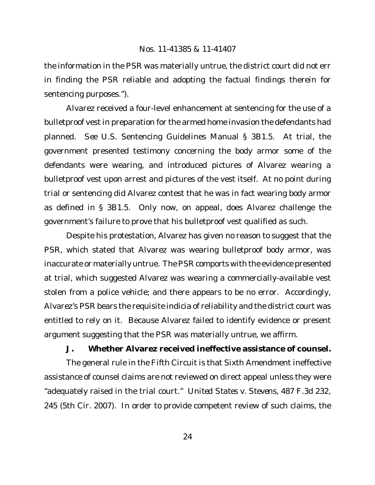the information in the PSR was materially untrue, the district court did not err in finding the PSR reliable and adopting the factual findings therein for sentencing purposes.").

Alvarez received a four-level enhancement at sentencing for the use of a bulletproof vest in preparation for the armed home invasion the defendants had planned. *See* U.S. Sentencing Guidelines Manual § 3B1.5. At trial, the government presented testimony concerning the body armor some of the defendants were wearing, and introduced pictures of Alvarez wearing a bulletproof vest upon arrest and pictures of the vest itself. At no point during trial or sentencing did Alvarez contest that he was in fact wearing body armor as defined in § 3B1.5. Only now, on appeal, does Alvarez challenge the government's failure to prove that his bulletproof vest qualified as such.

Despite his protestation, Alvarez has given no reason to suggest that the PSR, which stated that Alvarez was wearing bulletproof body armor, was inaccurate or materially untrue. The PSR comports with the evidence presented at trial, which suggested Alvarez was wearing a commercially-available vest stolen from a police vehicle; and there appears to be no error. Accordingly, Alvarez's PSR bears the requisite indicia of reliability and the district court was entitled to rely on it. Because Alvarez failed to identify evidence or present argument suggesting that the PSR was materially untrue, we affirm.

**J. Whether Alvarez received ineffective assistance of counsel.**

The general rule in the Fifth Circuit is that Sixth Amendment ineffective assistance of counsel claims are not reviewed on direct appeal unless they were "adequately raised in the trial court." *United States v. Stevens*, 487 F.3d 232, 245 (5th Cir. 2007). In order to provide competent review of such claims, the